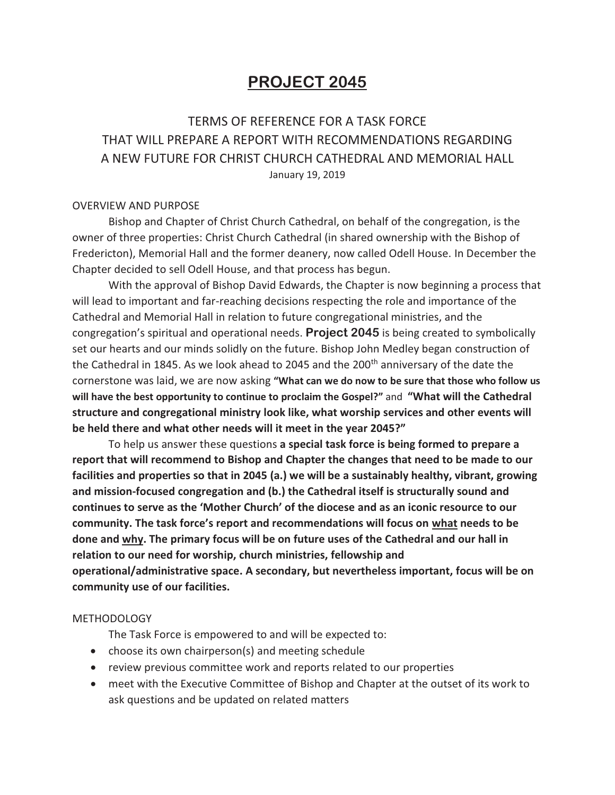# **PROJECT 2045**

## TERMS OF REFERENCE FOR A TASK FORCE THAT WILL PREPARE A REPORT WITH RECOMMENDATIONS REGARDING A NEW FUTURE FOR CHRIST CHURCH CATHEDRAL AND MEMORIAL HALL January 19, 2019

#### OVERVIEW AND PURPOSE

Bishop and Chapter of Christ Church Cathedral, on behalf of the congregation, is the owner of three properties: Christ Church Cathedral (in shared ownership with the Bishop of Fredericton), Memorial Hall and the former deanery, now called Odell House. In December the Chapter decided to sell Odell House, and that process has begun.

With the approval of Bishop David Edwards, the Chapter is now beginning a process that will lead to important and far-reaching decisions respecting the role and importance of the Cathedral and Memorial Hall in relation to future congregational ministries, and the congregation's spiritual and operational needs. **Project 2045** is being created to symbolically set our hearts and our minds solidly on the future. Bishop John Medley began construction of the Cathedral in 1845. As we look ahead to 2045 and the 200<sup>th</sup> anniversary of the date the cornerstone was laid, we are now asking **"What can we do now to be sure that those who follow us will have the best opportunity to continue to proclaim the Gospel?"** and **"What will the Cathedral structure and congregational ministry look like, what worship services and other events will be held there and what other needs will it meet in the year 2045?"** 

To help us answer these questions **a special task force is being formed to prepare a report that will recommend to Bishop and Chapter the changes that need to be made to our facilities and properties so that in 2045 (a.) we will be a sustainably healthy, vibrant, growing and mission-focused congregation and (b.) the Cathedral itself is structurally sound and continues to serve as the 'Mother Church' of the diocese and as an iconic resource to our community. The task force's report and recommendations will focus on what needs to be done and why. The primary focus will be on future uses of the Cathedral and our hall in relation to our need for worship, church ministries, fellowship and operational/administrative space. A secondary, but nevertheless important, focus will be on community use of our facilities.** 

#### **METHODOLOGY**

The Task Force is empowered to and will be expected to:

- choose its own chairperson(s) and meeting schedule
- review previous committee work and reports related to our properties
- meet with the Executive Committee of Bishop and Chapter at the outset of its work to ask questions and be updated on related matters